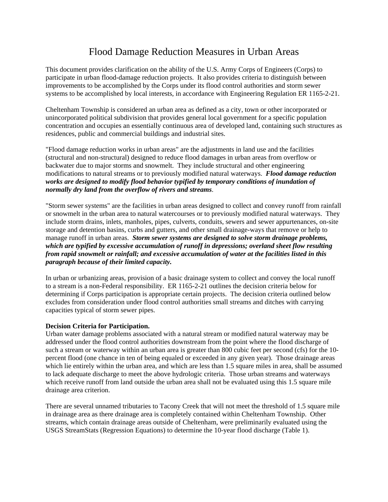## Flood Damage Reduction Measures in Urban Areas

This document provides clarification on the ability of the U.S. Army Corps of Engineers (Corps) to participate in urban flood-damage reduction projects. It also provides criteria to distinguish between improvements to be accomplished by the Corps under its flood control authorities and storm sewer systems to be accomplished by local interests, in accordance with Engineering Regulation ER 1165-2-21.

Cheltenham Township is considered an urban area as defined as a city, town or other incorporated or unincorporated political subdivision that provides general local government for a specific population concentration and occupies an essentially continuous area of developed land, containing such structures as residences, public and commercial buildings and industrial sites.

"Flood damage reduction works in urban areas" are the adjustments in land use and the facilities (structural and non-structural) designed to reduce flood damages in urban areas from overflow or backwater due to major storms and snowmelt. They include structural and other engineering modifications to natural streams or to previously modified natural waterways. *Flood damage reduction works are designed to modify flood behavior typified by temporary conditions of inundation of normally dry land from the overflow of rivers and streams*.

"Storm sewer systems" are the facilities in urban areas designed to collect and convey runoff from rainfall or snowmelt in the urban area to natural watercourses or to previously modified natural waterways. They include storm drains, inlets, manholes, pipes, culverts, conduits, sewers and sewer appurtenances, on-site storage and detention basins, curbs and gutters, and other small drainage-ways that remove or help to manage runoff in urban areas. *Storm sewer systems are designed to solve storm drainage problems, which are typified by excessive accumulation of runoff in depressions; overland sheet flow resulting from rapid snowmelt or rainfall; and excessive accumulation of water at the facilities listed in this paragraph because of their limited capacity.*

In urban or urbanizing areas, provision of a basic drainage system to collect and convey the local runoff to a stream is a non-Federal responsibility. ER 1165-2-21 outlines the decision criteria below for determining if Corps participation is appropriate certain projects. The decision criteria outlined below excludes from consideration under flood control authorities small streams and ditches with carrying capacities typical of storm sewer pipes.

## **Decision Criteria for Participation.**

Urban water damage problems associated with a natural stream or modified natural waterway may be addressed under the flood control authorities downstream from the point where the flood discharge of such a stream or waterway within an urban area is greater than 800 cubic feet per second (cfs) for the 10 percent flood (one chance in ten of being equaled or exceeded in any given year). Those drainage areas which lie entirely within the urban area, and which are less than 1.5 square miles in area, shall be assumed to lack adequate discharge to meet the above hydrologic criteria. Those urban streams and waterways which receive runoff from land outside the urban area shall not be evaluated using this 1.5 square mile drainage area criterion.

There are several unnamed tributaries to Tacony Creek that will not meet the threshold of 1.5 square mile in drainage area as there drainage area is completely contained within Cheltenham Township. Other streams, which contain drainage areas outside of Cheltenham, were preliminarily evaluated using the USGS StreamStats (Regression Equations) to determine the 10-year flood discharge (Table 1).